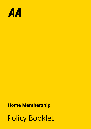

# **Home Membership**

# Policy Booklet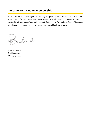#### **Welcome to AA Home Membership**

A warm welcome and thank you for choosing this policy which provides insurance and help in the event of certain home emergency situations which impact the safety, security and habitability of your home. Your policy booklet, Statement of Fact and Certificate of Insurance include everything you need to know about your Home Membership policy.

reder the

**Brendan Nevin** Chief Executive, AA Ireland Limited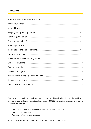#### **Contents**

To make a claim under your policy please check within this policy booklet that the incident is covered by your policy and then telephone us on 1800 252 626 straight away and provide the following information:

- Your policy number (this is shown on your Certificate of Insurance);
- Your name and address;
- The nature of the home emergency.

YOUR CERTIFICATE OF INSURANCE WILL OUTLINE DETAILS OF YOUR COVER.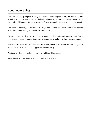# **About your policy**

The cover set out in your policy is designed to cover home emergencies only and offer assistance in making your home safe, secure and habitable after an insured event. This emergency level of cover offers 24 hour assistance in the event of the emergencies outlined in the table overleaf.

This policy is not designed to replace buildings and contents insurance and will not provide assistance for normal day to day home maintenance.

We have put this wording together to clearly set out the details of your insurance cover. Please read it carefully, as well as your Certificate of Insurance, to make sure they meet your needs.

Remember to check the exclusions and restrictions under each section and also the general exceptions and exclusions which apply to the whole policy.

The table overleaf summarises the cover available on this product.

Your Certificate of Insurance outlines the details of your cover.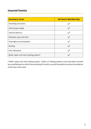## **Insured Events**

| <b>Summary Cover</b>                   | <b>AA Home Membership</b> |
|----------------------------------------|---------------------------|
| Plumbing and drains                    |                           |
| Internal gas supply                    |                           |
| Internal electrics                     |                           |
| Windows, keys and locks                |                           |
| Overnight accommodation                |                           |
| Roofing                                |                           |
| Pest infestation                       |                           |
| Boiler repair and main heating system* |                           |

\* Boiler repair and main heating system - boilers or heating systems must have been serviced by a qualified person within the preceding 24 months, you will be asked to produce the evidence at the time of the claim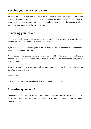### **Keeping your policy up to date**

Please tell us if you change your address as we will need to make sure that your home can still be covered under AA Home Membership. We may charge an administration fee if the changes mean we have to adjust your policy or send out duplicate copies of your documents. Details of our fees can be found in our Terms of Business.

#### **Renewing your cover**

At the end of each 12-month period we will write to confirm if we are offering renewal terms or advise if we are not in a position to renew your cover.

If you are paying by instalments your cover will automatically be renewed as specified in our letter, unless we hear from you.

We will advise you of the premium and / or the new monthly instalments that you will have to pay and any changes to cover that will take effect at renewal and any changes that apply to your policy booklet.

If you don't want to renew your policy, please let us know at least six days before the renewal date. You can contact us by:

Phone: 01 649 7448

Post: Home Membership, AA Ireland Ltd. 61a South William Street, Dublin 2.

## **Any other questions?**

Please call our customer services helpline on 01 649 7448, we will be happy to explain any part of this policy and answer your questions. Alternatively, more information is available on our website: theaa.ie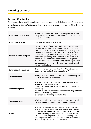#### **AA Home Membership**

Certain words have specific meanings in relation to your policy. To help you identify these we've printed them in *bold italics* in your policy details. Anywhere you see this word it has the same meaning.

| <b>Authorised Contractors</b>   | Tradesman authorised by us to assess your claim, and<br>carry out repairs in your home under this policy and our<br>delegated authority.                                                                                                                                                                                                                                                                                                                                                                                                                         |
|---------------------------------|------------------------------------------------------------------------------------------------------------------------------------------------------------------------------------------------------------------------------------------------------------------------------------------------------------------------------------------------------------------------------------------------------------------------------------------------------------------------------------------------------------------------------------------------------------------|
| <b>Authorised Insurer</b>       | Inter Partner Assistance (IPA) S.A.                                                                                                                                                                                                                                                                                                                                                                                                                                                                                                                              |
| Beyond economic repair          | On assessment of your main boiler our engineer may<br>declarecit to be 'beyond economical repair'; this means<br>the cost of parts (inc VAT) to repair the heater is greater<br>than 85% of the manufacturers current retail price of<br>a replacement (or if not available, the average retail<br>price through leading Irish suppliers of the same or a<br>similar mode); or we are unable to find the required<br>manufacturer's spare parts to complete the repair from<br>our reputable suppliers or the manufacturers themselves<br>i.e. part is obsolete. |
| <b>Certificate of Insurance</b> | The document which describes Your Property and any<br>details of Your policy that are specific to You.                                                                                                                                                                                                                                                                                                                                                                                                                                                           |
| <b>Covered Events</b>           | <b>Emergency</b> to essential services within the <b>Property</b> listed<br>in your Certificate of Insurance.                                                                                                                                                                                                                                                                                                                                                                                                                                                    |
| <b>Home Emergency</b>           | The result of a sudden and unforeseen incident at the<br>Property which immediately:<br>a) Exposes the <i>insured</i> or a third party to a risk to their<br>health or:<br>b) Creates a risk of loss of or damage to the <b>Property</b> and/<br>or any of Your belongings or;<br>c) Renders the <b>Property</b> uninhabitable.                                                                                                                                                                                                                                  |
| <b>Emergency Repairs</b>        | Work undertaken by an authorised contractor to resolve<br>the <i>emergency</i> by completing a <b>Temporary Repair.</b>                                                                                                                                                                                                                                                                                                                                                                                                                                          |
| Home                            | The private dwelling (excluding detached outbuildings,<br>sheds, communal areas and detached garages) shown<br>in the Certificate of Insurance occupied by You or Your<br>immediate family or any lodger so long as You are also<br>resident at this <b>Property</b> . Such private dwellings must<br>be a single self-contained unit with its own front door of<br>standard wall and tile roof construction.                                                                                                                                                    |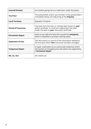| Insured Event(s)           | An incident giving rise to a valid claim under this policy.                                                                                                             |
|----------------------------|-------------------------------------------------------------------------------------------------------------------------------------------------------------------------|
| You/Your                   | The policyholder and/or any member of the policyholder's<br>immediate family normally living at the <b>Property</b> .                                                   |
| <b>Local Territory</b>     | Republic of Ireland.                                                                                                                                                    |
| <b>Period of Insurance</b> | One year from the start or renewal date shown on your<br>policy certificate. If a mid-term adjustment has been<br>made, the date on <b>your</b> new policy certificate. |
| <b>Permanent Repair</b>    | Work to put right the fault that caused the <b>emergency</b> ,<br>which is expected to provide a lasting repair.                                                        |
| <b>Statement of Fact</b>   | This document is a record of the information advised to<br>AA and upon which <b>Your</b> insurance has been arranged.                                                   |
| <b>Temporary Repair</b>    | A repair undertaken by an authorised tradesman which<br>will resolve an emergency but will need to be replaced by<br>a Permanent Repair.                                |
| We, Us, Our                | AA Ireland Ltd.                                                                                                                                                         |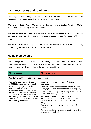#### **Insurance Terms and conditions**

This policy is administered by AA Ireland, 61a South William Street, Dublin 2. *AA Ireland Limited trading as AA Insurance is regulated by the Central Bank of Ireland.*

*AA Ireland Limited trading as AA Insurance is a tied agent of Inter Partner Assistance SA (IPA) for the purposes of selling Home Membership.*

*Inter Partner Assistance (IPA) S.A. is authorised by the National Bank of Belgium in Belgium. Inter Partner Assistance is regulated by the Central Bank of Ireland for conduct of business rules.*

AXA Assistance Ireland Limited provides the services and benefits described in this policy during the *Period of Insurance* for which *You* have paid the premium.

## **Home Membership**

The following subsections will not apply to *Property* types where there are shared facilities-Water Supply Pipe-Roofing. There are also some exclusions within other sections relating to communal areas which are detailed in the terms and conditions.

| <b>What is insured</b>                                                                                                                                                                                                                                                                                                                                                                                    | What is not insured                                                                                                                                                   |  |
|-----------------------------------------------------------------------------------------------------------------------------------------------------------------------------------------------------------------------------------------------------------------------------------------------------------------------------------------------------------------------------------------------------------|-----------------------------------------------------------------------------------------------------------------------------------------------------------------------|--|
| Your limits and Cover applying to this section                                                                                                                                                                                                                                                                                                                                                            |                                                                                                                                                                       |  |
| The <b>Authorised Insurer</b> will pay up<br>to €2000 for the emergency repair<br>to cover call out, labour, parts,<br>materials and VAT following an<br><b>Insured Event</b> which occurred during<br>the <b>Period of Insurance</b> . This limit<br>includes any costs incurred under<br>the overnight accommodation cover.<br>There is a maximum of four call outs<br>per <b>Period of Insurance</b> . | More than 4 Insured Events per <b>Period of</b><br><i>Insurance.</i>                                                                                                  |  |
|                                                                                                                                                                                                                                                                                                                                                                                                           | Any claims made under the policy within the first<br>14 days (other than a renewal of an existing policy).                                                            |  |
|                                                                                                                                                                                                                                                                                                                                                                                                           | Material/labour charges covered by manufacturer/<br>supplier/installer's guarantee                                                                                    |  |
|                                                                                                                                                                                                                                                                                                                                                                                                           | Any system, equipment or facility, which has<br>not been properly installed, or which is faulty or<br>inadequate as a result of any manufacturing or<br>design fault. |  |
|                                                                                                                                                                                                                                                                                                                                                                                                           | Cost of trace & access to locate the source of the<br>emergency                                                                                                       |  |
|                                                                                                                                                                                                                                                                                                                                                                                                           | Permanent or follow-on repairs required after the<br>emergency is resolved.                                                                                           |  |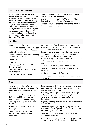| <b>Overnight accommodation</b>                                                                                                                                                                                                                                                                                                                                                                                                                                                               |                                                                                                                                                                                                                                                                                                                                                                                                                                                                                                                                                                                                                                                                                                                          |
|----------------------------------------------------------------------------------------------------------------------------------------------------------------------------------------------------------------------------------------------------------------------------------------------------------------------------------------------------------------------------------------------------------------------------------------------------------------------------------------------|--------------------------------------------------------------------------------------------------------------------------------------------------------------------------------------------------------------------------------------------------------------------------------------------------------------------------------------------------------------------------------------------------------------------------------------------------------------------------------------------------------------------------------------------------------------------------------------------------------------------------------------------------------------------------------------------------------------------------|
| If You cannot in the <b>Authorised</b><br>Insurer's opinion stay in Your Home<br>overnight because it is uninhabitable<br>due to an <i>Insured Event</i> covered by<br>this policy, the <b>Authorised Insurer</b><br>will, subject to prior agreement,<br>reimburse hotel costs of up to €150<br>per night for a maximum of 3 nights<br>per <i>insured event</i> (including VAT)<br>subject to claims limits. Each night<br>will need pre-authorisation by the<br><b>Authorised Insurer.</b> | Where pre-authorisation per night has not been<br>given by the Authorised Insurer.<br>More than €150 (including VAT) per night More<br>than 3 nights in any Period of Insurance.<br>Any costs incurred once the limit for the Insured<br><b>Event</b> has been exceeded.                                                                                                                                                                                                                                                                                                                                                                                                                                                 |
| <b>Plumbing</b>                                                                                                                                                                                                                                                                                                                                                                                                                                                                              |                                                                                                                                                                                                                                                                                                                                                                                                                                                                                                                                                                                                                                                                                                                          |
| An emergency relating to:<br>The internal hot and cold water pipes<br>between the main internal stopcock<br>and the internal taps;<br>The cold water storage tank; Flushing<br>mechanism of a toilet:<br>• A leak from:<br>• Your toilet;<br>• Visible pipes leading to and from<br>the shower or bath:<br>• Internal & external section of the<br>overflow pipe;<br>• Central heating water pipes.                                                                                          | Any dripping tap/nozzle or any other part of the<br>plumbing or drainage system where the water is<br>safely escaping down a drain;<br>Replacing external overflows, cylinders, hot and<br>cold water tanks, radiators, immersion tanks and<br>sanitary ware including sinks and basins.<br>Breakdown, leak or damage to domestic appliances<br>such as cookers, dishwashers and washing<br>machines:<br>Septic tanks, swimming pools and hot tubs;<br>Repair to, or replacement of, all pipework outside<br>the home;<br>Dealing with temporarily frozen pipes;<br>Cost of trace and access to locate the source of the<br>emergency.                                                                                   |
| <b>Drainage</b>                                                                                                                                                                                                                                                                                                                                                                                                                                                                              |                                                                                                                                                                                                                                                                                                                                                                                                                                                                                                                                                                                                                                                                                                                          |
| An emergency relating to the<br>blockage of, or damage to the waste<br>pipes causing a blockage or a waste<br>water leak.<br>The below is a list of emergencies<br>that you would be covered for:<br>Blocked sinks, blocked or leaking<br>waste pipes, along with rainwater<br>drains;<br>Blocked bath, toilets or external<br>drainage.<br>You will still be covered if you do<br>have another working toilet or<br>bathing facility;                                                       | Repairs to drains that are the responsibility of the<br>local water authority (even if they are within the<br>boundaries of the home);<br>Repairing, replacing manholes, soakaways, septic<br>tanks (clearing or emptying), cesspits, treatment<br>plants and their outflow pipes, guttering and<br>downpipes;<br>Regularly cleaning your drains and any descaling of<br>your drains;<br>Removing, replacing or repairing any part of the<br>drain which is damaged but does not result in the<br>total blockage of the drain;<br>Repairing or unblocking drains which are used for<br>commercial purposes;<br>Making access to drain systems points of entry (such<br>as manhole covers) if these have been built over; |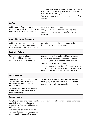|                                                                                                                                                                                                                                                               | Drain clearance due to installation faults or misuse<br>of drains such as flushing baby wipes down the<br>drain, grease or cooking oil;<br>Cost of trace and access to locate the source of the<br>emergency.                                                                                                                                    |
|---------------------------------------------------------------------------------------------------------------------------------------------------------------------------------------------------------------------------------------------------------------|--------------------------------------------------------------------------------------------------------------------------------------------------------------------------------------------------------------------------------------------------------------------------------------------------------------------------------------------------|
| <b>Roofing</b>                                                                                                                                                                                                                                                |                                                                                                                                                                                                                                                                                                                                                  |
| Sudden and unforeseen roofing<br>problems such as leaks or tiles blown<br>off during a storm or bad weather                                                                                                                                                   | Damage to external guttering.<br>Damage to roofs constructed with a flexible<br>weather roof-ing membrane e.g. torch on felt,<br>trocal etc.                                                                                                                                                                                                     |
| <b>Internal Domestic Gas supply</b>                                                                                                                                                                                                                           |                                                                                                                                                                                                                                                                                                                                                  |
| Sudden, unexpected leak to the<br>internal domestic gas supply pipe<br>from the meter to the gas appliance                                                                                                                                                    | Any claim relating to the interruption, failure or<br>disconnection of the mains gas supply.                                                                                                                                                                                                                                                     |
| <b>Electricity Failure</b>                                                                                                                                                                                                                                    |                                                                                                                                                                                                                                                                                                                                                  |
| Complete or partial failure of<br>electricity within the Property.<br>Breakdown of an Electric shower.                                                                                                                                                        | Replacement of light bulbs and fuses in plugs.<br>Breakdown or loss of or damage to domestic<br>appliances, and other mechanical equipment<br>Replacement of electric showers.<br>Electricity supply to, or failure of burglar/fire alarm<br>systems, CCTV surveillance or supply to swimming<br>pools and their plumbing or filtration systems. |
| <b>Pest Infestation</b>                                                                                                                                                                                                                                       |                                                                                                                                                                                                                                                                                                                                                  |
| Removal from your Home of brown<br>rats, black rats, house mice, field<br>mice, squirrels, wasps' nests &<br>hornets' nests.<br>Pests (wasps nest only) outside the<br>private dwelling e.g. in garages and<br>other outbuildings.                            | Pests other than wasps nests outside the main<br>building e.g. in garages and other outbuildings.<br>More than two call outs to <b>your</b> home per claim.                                                                                                                                                                                      |
| Keys and Locks                                                                                                                                                                                                                                                |                                                                                                                                                                                                                                                                                                                                                  |
| Keys, broken locks and ir-replaceable<br>loss of all keys required to gain<br>access to the Property not including<br>outbuildings.<br>Keys which have broken in the lock<br>for a door to <b>your</b> house but you can<br>gain access through another door. | Loss of keys for outbuildings, garages, and sheds.                                                                                                                                                                                                                                                                                               |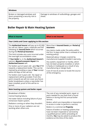| Windows                                                                               |                                                          |
|---------------------------------------------------------------------------------------|----------------------------------------------------------|
| Broken or damaged windows and<br>doors presenting a security risk to<br>the property. | Damage to windows of outbuildings, garages and<br>sheds. |

# **Boiler Repair & Main Heating System**

| <b>What is insured</b>                                                                                                                                                                                                                                                                                                                                                                                                                                                                                                                                                                                                                                                                                                                                                                                                                                                     | <b>What is not insured</b>                                                                                                                                                                                                                                                                                                                                                                                                                                                                                              |  |
|----------------------------------------------------------------------------------------------------------------------------------------------------------------------------------------------------------------------------------------------------------------------------------------------------------------------------------------------------------------------------------------------------------------------------------------------------------------------------------------------------------------------------------------------------------------------------------------------------------------------------------------------------------------------------------------------------------------------------------------------------------------------------------------------------------------------------------------------------------------------------|-------------------------------------------------------------------------------------------------------------------------------------------------------------------------------------------------------------------------------------------------------------------------------------------------------------------------------------------------------------------------------------------------------------------------------------------------------------------------------------------------------------------------|--|
| Your Limits and Cover applying to this section                                                                                                                                                                                                                                                                                                                                                                                                                                                                                                                                                                                                                                                                                                                                                                                                                             |                                                                                                                                                                                                                                                                                                                                                                                                                                                                                                                         |  |
| The <b>Authorised Insurer</b> will pay up to $\epsilon$ 2,000<br>for call out, labour, parts, materials and VAT<br>following an <b>Insured Event</b> which occurred<br>during the <b>Period of Insurance</b> .<br>This limit includes any costs incurred under<br>the overnight accomodation cover.<br>If Your boiler is, in the Authorised Insurer's<br>opinion, <b>Beyond economic Repair</b> the<br><b>Authorised Insurer will:</b><br>For boilers up to 6 years old - give You €750<br>towards a replacement boiler. This can be<br>claimed by providing a copy of <b>Your</b> receipt<br>within 60 days of the call out;<br>For boilers over 6 years old - No repair or<br>replacement will be provided. From this<br>point onwards we will not cover any future<br>boiler breakdowns unless a new boiler has<br>been installed, proof of this will be re-<br>quired. | More than 4 <b>Insured Events</b> per <b>Period of</b><br>Insurance.<br>Any claims made under the policy within<br>the first 14 days (other than a renewal of an<br>existing policy);<br>Material/Labour charges covered by<br>manufacturer/supplier/installer's warranty.<br>Any system, equipment or facility, which<br>has not been properly installed, or which<br>is faulty or inadequate as a result of any<br>manufacturing or design fault;<br>Cost of trace & access to locate the source<br>of the emergency. |  |
| Main heating system and boiler repair                                                                                                                                                                                                                                                                                                                                                                                                                                                                                                                                                                                                                                                                                                                                                                                                                                      |                                                                                                                                                                                                                                                                                                                                                                                                                                                                                                                         |  |
| Breakdown of Boiler;<br>Central heating failure;<br>Hot water failure including failure of your<br>immersion heatin system;<br>Radiators coming on when they shouldn't.<br>One or more of your radiators are not<br>working when others are.                                                                                                                                                                                                                                                                                                                                                                                                                                                                                                                                                                                                                               | The cost of any remedial work, repair or<br>parts needed for any fault that is found<br>before or during the first annual boiler<br>service:<br>Boilers, which are impossible or impractical<br>to access in order to perform a service;<br>Boilers in a commercial <b>Property</b> ;<br>Failure of boilers or heating systems that<br>have not been inspected or serviced by<br>a qualified person within preceding 24<br>months, You may be asked to produce the<br>evidence at the time of the claim:                |  |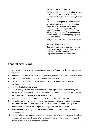| Boilers more than 15 years old;<br>Checks or maintenance required on any gas<br>or oil appliance other than the boiler;                                                                                                                                                              |
|--------------------------------------------------------------------------------------------------------------------------------------------------------------------------------------------------------------------------------------------------------------------------------------|
| Any non-functional decorative parts, trim or<br>casing;                                                                                                                                                                                                                              |
| Boilers that are <b>Beyond Economic Repair</b> ;                                                                                                                                                                                                                                     |
| Descaling and any work arising from hard<br>water scale deposits (including power<br>flushing) or from damage caused by<br>aggressive water or sludge resulting from<br>corrosion. Signs that work is needed may<br>include a noisy boiler, sludged up pipes or<br>poor circulation; |
| LPG gas, solid fuel fired, warm air and solar<br>heating;                                                                                                                                                                                                                            |
| Un-vented heating systems;                                                                                                                                                                                                                                                           |
| Heat pumps, air source heat pumps. warm<br>air systems, water heaters, electric or piped<br>underfloor heating systems;                                                                                                                                                              |
| Properties with more than one boiler.                                                                                                                                                                                                                                                |
|                                                                                                                                                                                                                                                                                      |

# **General exclusions**

- 1. Loss or damage arising from circumstances known to *You* prior to the start date of this insurance.
- 2. Replacement of boilers, cylinders, tanks, radiators, kitchen appliances and sanitary ware.
- 3. The cost of replacement parts due to natural wear and tear.
- 4. Loss or damage however caused to personal items, like paintings, electrical goods, jewellery, clothing, etc.
- 5. Any loss due to faulty installation.
- 6. Loss or damage arising from disconnection or interruption of mains services by the deliberate act of the utility company concerned or any equipment or services which are the responsibility or *Property* of the utility company.
- 7. Any cost relating to the attempted repair by *You* or *Your* own contractor.
- 8. Any defect, damage or failure caused by malicious or wilful action, negligence, misuse, third party interference or faulty workmanship, including any attempted repair or modification which does not comply with recognised industry standards.
- 9. Any emergency occurring after *Your Home* has been unoccupied for more than 30 consecutive days.
- 10. Any loss arising from subsidence caused by bedding down of new structures, demolition or structural repairs or alterations to the *Property*, faulty workmanship or the use of defective materials, or river or coastal erosion.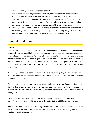- 11. Any loss or damage arising as a consequence of:
	- war, invasion, act of foreign enemies, terrorism, hostilities (whether war is declared or not), civil war, rebellion, revolution, insurrection, coup, riot or civil disturbance; ionising radiation or contamination by radioactivity from any nuclear fuel or from any nuclear waste from combustion of nuclear fuel, the radioactive toxic explosive or other hazardous properties of any explosive nuclear assembly or its nuclear component.
- 12. Any loss, injury, damage or legal liability arising directly or indirectly from, or consisting of the following: the failure or inability of any equipment to correctly recognise or interpret data representing any date, in such a way that it does not work properly at all.

#### **General conditions**

#### **Claims**

This insurance is not household buildings or a contents policy or an equipment maintenance contract. Home Membership is restricted to repairs where it is necessary to make the property safe and secure, or habitable, or to prevent further damage to your property. It complements *Your* household insurance policies, providing benefits and services which are not normally available under such policies. It is therefore a requirement of this policy that *You* have a *Home* insurance policy covering *Your Property* and a contents insurance policy covering *Your* possessions.

If any loss, damage or expense covered under this insurance policy is also covered by any other insurance or maintenance contract, *We* will not pay more than *Our* fair share (rateable proportion) of any claim.

This insurance does not cover normal day to day maintenance at *Your Home* that *You* should do. Nor does it pay for replacing items that wear out over a period of time or replacement of parts on a like for like basis where the replacement is necessary to resolve the immediate emergency.

*We* will only pay costs which are incurred as a direct consequence of the event which led to the claim *You* are making under this policy up to the policy limit of €2000 per insured event.

*You* must co-operate with *Us* in obtaining reimbursement of any costs *We* incur under the terms of this cover, which may have been caused by the action of a third party against whom *You* have a legal right of action.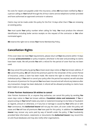No costs for repairs are payable under this insurance, unless *We* have been notified by *You* or a person calling on *Your* behalf through the 24 hour claims service telephone number provided and have authorised an approved contractor in advance.

Claims may not be made under this policy for the first 14 days other than if *You* are renewing an existing policy.

*You* must quote *Your* policy number when calling for help. *You* must produce the relevant identification including boiler service receipts on the request of the contractor or *Our* other nominated agent.

*We* reserve the right not to renew *Your* Home Membership Policy.

# **Cancellation Rights**

If this cover does not meet *Your* requirements, please return all *Your* documents within 14 days of receipt *of documentation* or policy inception, whichever is the later and providing no claims have been made. We will provide *You* with a refund for the period of cover that has not been used.

*We* may cancel this policy by giving *You* at least seven days notice at *Your* last known address. If *We* cancel the policy, *We* will refund the premium paid for the remainder of the current Period of Insurance, unless a claim has been made. We reserve the right to refuse renewal of any individual policy. If *You* wish to cancel your policy after the period has expired, we will calculate the amount of premium for the period *You* have been insured and will refund any balance after any transaction charge has been deducted. A refund will be allowed providing no claims have been made on your policy.

#### **If Inter Partner Assistance SA wishes to cancel**

Inter Partner Assistance SA, or anyone they authorise, can cancel this policy by sending *You* seven days notice to *Your* last known address. *Fraudulent claims and statements*: If *You* or anyone acting on *Your* behalf makes any claim or statement knowing it to be false or fraudulent as regards, amount or otherwise, or if any loss or damage is caused by *Your* wilful act or with *Your* connivance, the *Authorised Insurer* will not pay the claim, all cover under this policy will cease and *You* will lose all premiums *You* have paid for this policy. In addition the *Authorised Insurer* may recover any sums paid by way of benefit under the policy. If *You* fraudulently provided false information, statements or documents the *Authorised Insurer* may record this on anti-fraud databases and may also notify other organisations.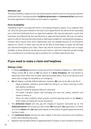#### **Relevant Law**

This policy booklet is subject to Irish Law and the parties submit to the non-exclusive jurisdiction of the Irish Courts. The policy booklet, *Certificate of Insurance* and *Statement of Fact* represents the entire agreement of the parties on the matters in question.

#### **Parts Availability**

Availability of parts is an important factor in providing emergency repairs. If our engineer does not carry the spare parts needed on the day of your appointment, we will do all we reasonably can to find and install parts from our approved suppliers. We may use new parts or parts that have been reconditioned by the manufacturer or approved third parties. We may not replace parts on a like for like basis but will provide an alternative suitable for containing the emergency. However there may be times when replacement parts are delayed because of circumstances beyond our control. In these cases we will not be able to avoid delays in repair; we will keep you informed throughout your claim. There may also be occasions where parts are no longer available. In these situations we will ensure your home is safe and if required, we will arrange for a manufacturer to provide you with a quotation for a suitable replacement item.

# **If you need to make a claim and helplines**

#### **Making a claim**

- 1. To obtain *emergency* assistance contact the 24 hour Emergency Helpline on: 1800 252626. Please contact *Us* as soon as *You* are aware of a *Home Emergency*. We may decline to attend any event which has not been reported promptly after it first occurs because such event may no longer be classified as an emergency.
- 2. *We* will deploy a suitable skilled tradesman. However, *We* may not be able to do this if:
	- Adverse weather conditions prevent *Us* from doing so; i.e. flood, snow fog or other bad weather conditions;
	- There are industrial disputes official or otherwise;
	- The public transport system fails (including the road and railway networks and repairs to them); or
	- There are other problems which prevent someone gaining access to the *Home* or which makes providing the service impractical.
- 3. The *Authorised Insurer* will only pay the charges of repairers instructed by Us. The *Authorised Insurer* will not pay any claim unless **We** have given *Our* agreement, or if there is no one at *Home* when *Our* approved repairer arrives where an agreed appointment time has been made.
- 4. The *Authorised Insurer* will pay the claim subject to the terms exclusions and conditions of this Home Membership policy.
- 5. Repairers will only attend where an appointed adult of 18 years or over is present at the Home.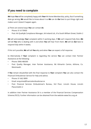# **If you need to complain**

*We* hope *You* will be completely happy with *Your* AA Home Membership policy. But if something does go wrong, *We* would like to know about it so *We* can do *Our* best to put things right and makes sure it doesn't happen again.

a) There are several ways *You* can contact *Us*.

- Phone: 01 6179950
- Post: AA Quality& Compliance Manager, AA Ireland Ltd., 61a South William Street, Dublin 2

*We* will acknowledge *Your* complaint within 5 working days. If *We* can't respond fully then, *We* will tell *You* who is dealing with it and when *You* will hear from them. *We* will do *Our* best to respond fully within 4 weeks.

If this isn't possible, *We* will tell *You* why and when *You* can expect a full response.

b) Alternatively if *Your* complaint is regarding the service *You* can contact Inter Partner Assistance at the following:

- Phone: 0906 486300
- Post: Quality Manager, Inter Partner Assistance, N6 Kilmartin Centre, Athlone, Co. Westmeath.

If *You* remain dissatisfied with the final response to *Your* complaint *You* can also contact the Financial Ombudsman Service for help and advice.

- Phone: 01 662 0899
- Email: enquiries@financialombudsman.ie
- Post: Financial Services Ombudsman's Bureau, 3rd Floor, Lincoln House, Lincoln Place,Dublin 2

In addition Inter Partner Assistance SA is a member of the Financial Services Compensation Scheme (FSCS). Further information can be obtained from the website www.fscs.org.uk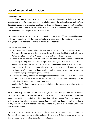#### **Use of Personal Information**

#### **Data Protection**

Details of *You*, *Your* insurance cover under this policy and claims will be held by *Us* (acting as data controllers) for underwriting, policy administration, claims handling, providing *Home Emergency* assistance, complaints handling, sanctions checking and fraud prevention, subject to the provisions of applicable data protection law and in accordance with the assurances contained in *Our* website privacy notice (see below).

*We* collect and process these details as necessary for performance of *Our* contract of insurance with *You* or complying with *Our* legal obligations, or otherwise in *Our* legitimate interests in managing *Our* business and providing *Our* products and services.

These activities may include:

- a. use of sensitive information about the health or vulnerability of *You* or others involved in *Your Home Emergency*, in order to provide the services described in this policy, by using *Our* services, *You* consent to *Us* using such information for these purposes,
- b. disclosure of information about *You* and *Your* insurance cover to companies within the AXA Group of companies, to *Our* service providers and agents in order to administer and service *Your* insurance cover, to provide *You* with *Home Emergency* assistance, for fraud prevention, to collect payments, and otherwise as required or permitted by applicable law;
- c. monitoring and/or recording of *Your* telephone calls in relation to cover for the purposes of record-keeping, training and quality control;
- d. obtaining and storing any relevant and appropriate photographic evidence of the condition of *Your* property which is the subject of the claim, for the purpose of providing services under this policy and validating *Your* claim; and
- e. sending *You* feedback requests or surveys relating to *Our* services, and other customer care communications.

*We* will separately seek *Your* consent before using or disclosing *Your* personal data to another party for the purpose of contacting *You* about other products or services (direct marketing). Marketing activities may include matching *Your* data with information from public sources in order to send *You* relevant communications. *You* may withdraw *Your* consent to marketing at any time, or opt-out of feedback requests, by contacting the Data Protection Officer (see contact details below).

*We* carry out these activities within Ireland, the UK and the European Economic Area (the European Union plus Norway, Liechtenstein and Iceland) and Switzerland, across which the data protection laws provide a similar level of protection.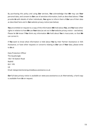By purchasing this policy and using *Our* services, *You* acknowledge that *We* may use *Your* personal data, and consent to *Our* use of sensitive information, both as described above. If *You* provide *Us* with details of other individuals, *You* agree to inform them of *Our* use of their data as described here and in *Our* website privacy notice (see below).

*You* are entitled on request to a copy of the information *We* hold about *You*, and *You* have other rights in relation to how *We* use *Your* data (as set out in *Our* website privacy notice – see below). Please let *Us* know if *You* think any information *We* hold about *You* is inaccurate, so that *We* can correct it.

If *You* want to know what information is held about *You* by Inter Partner Assistance or AXA Assistance, or have other requests or concerns relating to *Our* use of *Your* data, please write to *Us* at:

Data Protection Officer The Quadrangle 106-118 Station Road Redhill RH1 1PR UK Email: dataprotectionenquiries@axa-assistance.co.uk

*Our* full data privacy notice is available at: www.axa-assistance.co.uk Alternatively, a hard copy is available from *Us* on request.